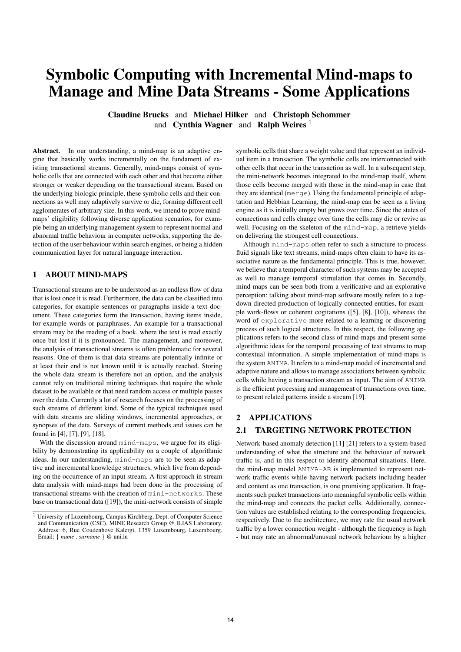# Symbolic Computing with Incremental Mind-maps to Manage and Mine Data Streams - Some Applications

Claudine Brucks and Michael Hilker and Christoph Schommer and Cynthia Wagner and Ralph Weires  $1$ 

Abstract. In our understanding, a mind-map is an adaptive engine that basically works incrementally on the fundament of existing transactional streams. Generally, mind-maps consist of symbolic cells that are connected with each other and that become either stronger or weaker depending on the transactional stream. Based on the underlying biologic principle, these symbolic cells and their connections as well may adaptively survive or die, forming different cell agglomerates of arbitrary size. In this work, we intend to prove mindmaps' eligibility following diverse application scenarios, for example being an underlying management system to represent normal and abnormal traffic behaviour in computer networks, supporting the detection of the user behaviour within search engines, or being a hidden communication layer for natural language interaction.

# 1 ABOUT MIND-MAPS

Transactional streams are to be understood as an endless flow of data that is lost once it is read. Furthermore, the data can be classified into categories, for example sentences or paragraphs inside a text document. These categories form the transaction, having items inside, for example words or paraphrases. An example for a transactional stream may be the reading of a book, where the text is read exactly once but lost if it is pronounced. The management, and moreover, the analysis of transactional streams is often problematic for several reasons. One of them is that data streams are potentially infinite or at least their end is not known until it is actually reached. Storing the whole data stream is therefore not an option, and the analysis cannot rely on traditional mining techniques that require the whole dataset to be available or that need random access or multiple passes over the data. Currently a lot of research focuses on the processing of such streams of different kind. Some of the typical techniques used with data streams are sliding windows, incremental approaches, or synopses of the data. Surveys of current methods and issues can be found in [4], [7], [9], [18].

With the discussion around mind-maps, we argue for its eligibility by demonstrating its applicability on a couple of algorithmic ideas. In our understanding, mind-maps are to be seen as adaptive and incremental knowledge structures, which live from depending on the occurrence of an input stream. A first approach in stream data analysis with mind-maps had been done in the processing of transactional streams with the creation of mini-networks. These base on transactional data ([19]), the mini-network consists of simple symbolic cells that share a weight value and that represent an individual item in a transaction. The symbolic cells are interconnected with other cells that occur in the transaction as well. In a subsequent step, the mini-network becomes integrated to the mind-map itself, where those cells become merged with those in the mind-map in case that they are identical (merge). Using the fundamental principle of adaptation and Hebbian Learning, the mind-map can be seen as a living engine as it is initially empty but grows over time. Since the states of connections and cells change over time the cells may die or revive as well. Focusing on the skeleton of the mind-map, a retrieve yields on delivering the strongest cell connections.

Although mind-maps often refer to such a structure to process fluid signals like text streams, mind-maps often claim to have its associative nature as the fundamental principle. This is true, however, we believe that a temporal character of such systems may be accepted as well to manage temporal stimulation that comes in. Secondly, mind-maps can be seen both from a verificative and an explorative perception: talking about mind-map software mostly refers to a topdown directed production of logically connected entities, for example work-flows or coherent cogitations ([5], [8], [10]), whereas the word of explorative more related to a learning or discovering process of such logical structures. In this respect, the following applications refers to the second class of mind-maps and present some algorithmic ideas for the temporal processing of text streams to map contextual information. A simple implementation of mind-maps is the system ANIMA. It refers to a mind-map model of incremental and adaptive nature and allows to manage associations between symbolic cells while having a transaction stream as input. The aim of ANIMA is the efficient processing and management of transactions over time, to present related patterns inside a stream [19].

## 2 APPLICATIONS

## 2.1 TARGETING NETWORK PROTECTION

Network-based anomaly detection [11] [21] refers to a system-based understanding of what the structure and the behaviour of network traffic is, and in this respect to identify abnormal situations. Here, the mind-map model ANIMA-AR is implemented to represent network traffic events while having network packets including header and content as one transaction, is one promising application. It fragments such packet transactions into meaningful symbolic cells within the mind-map and connects the packet cells. Additionally, connection values are established relating to the corresponding frequencies, respectively. Due to the architecture, we may rate the usual network traffic by a lower connection weight - although the frequency is high - but may rate an abnormal/unusual network behaviour by a higher

<sup>&</sup>lt;sup>1</sup> University of Luxembourg, Campus Kirchberg, Dept. of Computer Science and Communication (CSC). MINE Research Group @ ILIAS Laboratory. Address: 6, Rue Coudenhove Kalergi, 1359 Luxembourg, Luxembourg. Email: { *name* . *surname* } @ uni.lu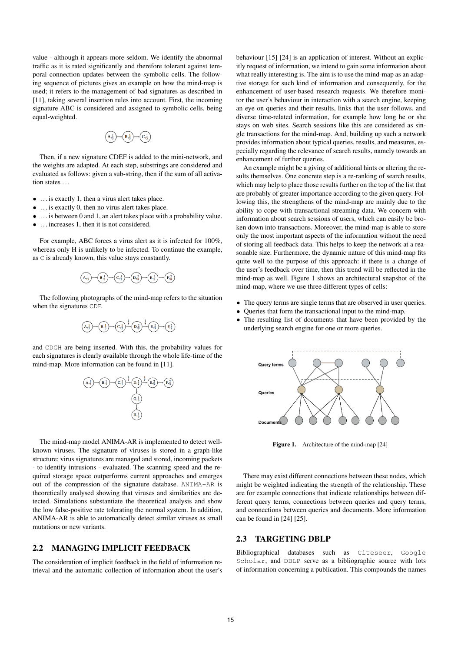value - although it appears more seldom. We identify the abnormal traffic as it is rated significantly and therefore tolerant against temporal connection updates between the symbolic cells. The following sequence of pictures gives an example on how the mind-map is used; it refers to the management of bad signatures as described in [11], taking several insertion rules into account. First, the incoming signature ABC is considered and assigned to symbolic cells, being equal-weighted.



Then, if a new signature CDEF is added to the mini-network, and the weights are adapted. At each step, substrings are considered and evaluated as follows: given a sub-string, then if the sum of all activation states ...

- . . . is exactly 1, then a virus alert takes place.
- . . . is exactly 0, then no virus alert takes place.
- . . . is between 0 and 1, an alert takes place with a probability value.
- . . . increases 1, then it is not considered.

For example, ABC forces a virus alert as it is infected for 100%, whereas only H is unlikely to be infected. To continue the example, as C is already known, this value stays constantly.



The following photographs of the mind-map refers to the situation when the signatures CDE



and CDGH are being inserted. With this, the probability values for each signatures is clearly available through the whole life-time of the mind-map. More information can be found in [11].



The mind-map model ANIMA-AR is implemented to detect wellknown viruses. The signature of viruses is stored in a graph-like structure; virus signatures are managed and stored, incoming packets - to identify intrusions - evaluated. The scanning speed and the required storage space outperforms current approaches and emerges out of the compression of the signature database. ANIMA-AR is theoretically analysed showing that viruses and similarities are detected. Simulations substantiate the theoretical analysis and show the low false-positive rate tolerating the normal system. In addition, ANIMA-AR is able to automatically detect similar viruses as small mutations or new variants.

# 2.2 MANAGING IMPLICIT FEEDBACK

The consideration of implicit feedback in the field of information retrieval and the automatic collection of information about the user's

behaviour [15] [24] is an application of interest. Without an explicitly request of information, we intend to gain some information about what really interesting is. The aim is to use the mind-map as an adaptive storage for such kind of information and consequently, for the enhancement of user-based research requests. We therefore monitor the user's behaviour in interaction with a search engine, keeping an eye on queries and their results, links that the user follows, and diverse time-related information, for example how long he or she stays on web sites. Search sessions like this are considered as single transactions for the mind-map. And, building up such a network provides information about typical queries, results, and measures, especially regarding the relevance of search results, namely towards an enhancement of further queries.

An example might be a giving of additional hints or altering the results themselves. One concrete step is a re-ranking of search results, which may help to place those results further on the top of the list that are probably of greater importance according to the given query. Following this, the strengthens of the mind-map are mainly due to the ability to cope with transactional streaming data. We concern with information about search sessions of users, which can easily be broken down into transactions. Moreover, the mind-map is able to store only the most important aspects of the information without the need of storing all feedback data. This helps to keep the network at a reasonable size. Furthermore, the dynamic nature of this mind-map fits quite well to the purpose of this approach: if there is a change of the user's feedback over time, then this trend will be reflected in the mind-map as well. Figure 1 shows an architectural snapshot of the mind-map, where we use three different types of cells:

- The query terms are single terms that are observed in user queries.
- Queries that form the transactional input to the mind-map.
- The resulting list of documents that have been provided by the underlying search engine for one or more queries.



Figure 1. Architecture of the mind-map [24]

There may exist different connections between these nodes, which might be weighted indicating the strength of the relationship. These are for example connections that indicate relationships between different query terms, connections between queries and query terms, and connections between queries and documents. More information can be found in [24] [25].

#### 2.3 TARGETING DBLP

Bibliographical databases such as Citeseer, Google Scholar, and DBLP serve as a bibliographic source with lots of information concerning a publication. This compounds the names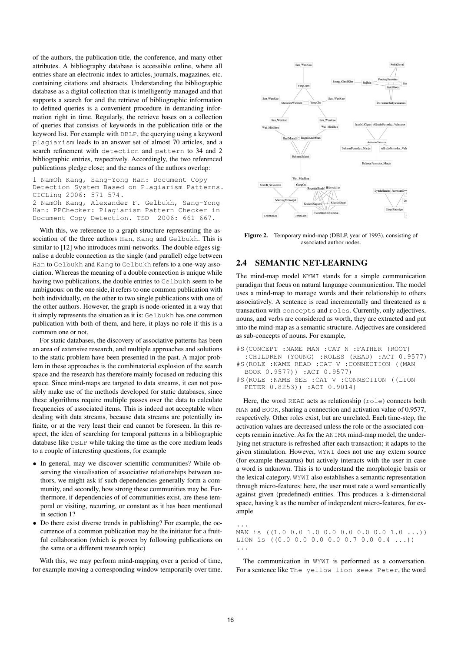of the authors, the publication title, the conference, and many other attributes. A bibliography database is accessible online, where all entries share an electronic index to articles, journals, magazines, etc. containing citations and abstracts. Understanding the bibliographic database as a digital collection that is intelligently managed and that supports a search for and the retrieve of bibliographic information to defined queries is a convenient procedure in demanding information right in time. Regularly, the retrieve bases on a collection of queries that consists of keywords in the publication title or the keyword list. For example with DBLP, the querying using a keyword plagiarism leads to an answer set of almost 70 articles, and a search refinement with detection and pattern to 34 and 2 bibliographic entries, respectively. Accordingly, the two referenced publications pledge close; and the names of the authors overlap:

```
1 NamOh Kang, Sang-Yong Han: Document Copy
Detection System Based on Plagiarism Patterns.
CICLing 2006: 571-574.
2 NamOh Kang, Alexander F. Gelbukh, Sang-Yong
Han: PPChecker: Plagiarism Pattern Checker in
Document Copy Detection. TSD 2006: 661-667.
```
With this, we reference to a graph structure representing the association of the three authors Han, Kang and Gelbukh. This is similar to [12] who introduces mini-networks. The double edges signalise a double connection as the single (and parallel) edge between Han to Gelbukh and Kang to Gelbukh refers to a one-way association. Whereas the meaning of a double connection is unique while having two publications, the double entries to Gelbukh seem to be ambiguous: on the one side, it refers to one common publication with both individually, on the other to two single publications with one of the other authors. However, the graph is node-oriented in a way that it simply represents the situation as it is: Gelbukh has one common publication with both of them, and here, it plays no role if this is a common one or not.

For static databases, the discovery of associative patterns has been an area of extensive research, and multiple approaches and solutions to the static problem have been presented in the past. A major problem in these approaches is the combinatorial explosion of the search space and the research has therefore mainly focused on reducing this space. Since mind-maps are targeted to data streams, it can not possibly make use of the methods developed for static databases, since these algorithms require multiple passes over the data to calculate frequencies of associated items. This is indeed not acceptable when dealing with data streams, because data streams are potentially infinite, or at the very least their end cannot be foreseen. In this respect, the idea of searching for temporal patterns in a bibliographic database like DBLP while taking the time as the core medium leads to a couple of interesting questions, for example

- In general, may we discover scientific communities? While observing the visualisation of associative relationships between authors, we might ask if such dependencies generally form a community, and secondly, how strong these communities may be. Furthermore, if dependencies of of communities exist, are these temporal or visiting, recurring, or constant as it has been mentioned in section 1?
- Do there exist diverse trends in publishing? For example, the occurrence of a common publication may be the initiator for a fruitful collaboration (which is proven by following publications on the same or a different research topic)

With this, we may perform mind-mapping over a period of time, for example moving a corresponding window temporarily over time.



Figure 2. Temporary mind-map (DBLP, year of 1993), consisting of associated author nodes.

#### 2.4 SEMANTIC NET-LEARNING

The mind-map model WYWI stands for a simple communication paradigm that focus on natural language communication. The model uses a mind-map to manage words and their relationship to others associatively. A sentence is read incrementally and threatened as a transaction with concepts and roles. Currently, only adjectives, nouns, and verbs are considered as worth, they are extracted and put into the mind-map as a semantic structure. Adjectives are considered as sub-concepts of nouns. For example,

```
#S(CONCEPT :NAME MAN :CAT N :FATHER (ROOT)
  :CHILDREN (YOUNG) :ROLES (READ) :ACT 0.9577)
#S(ROLE :NAME READ :CAT V :CONNECTION ((MAN
 BOOK 0.9577)) :ACT 0.9577)
#S(ROLE :NAME SEE :CAT V :CONNECTION ((LION
 PETER 0.8253)) :ACT 0.9014)
```
Here, the word READ acts as relationship (role) connects both MAN and BOOK, sharing a connection and activation value of 0.9577, respectively. Other roles exist, but are unrelated. Each time-step, the activation values are decreased unless the role or the associated concepts remain inactive. As for the ANIMA mind-map model, the underlying net structure is refreshed after each transaction; it adapts to the given stimulation. However, WYWI does not use any extern source (for example thesaurus) but actively interacts with the user in case a word is unknown. This is to understand the morphologic basis or the lexical category. WYWI also establishes a semantic representation through micro-features: here, the user must rate a word semantically against given (predefined) entities. This produces a k-dimensional space, having k as the number of independent micro-features, for example

MAN is ((1.0 0.0 1.0 0.0 0.0 0.0 0.0 1.0 ...)) LION is ((0.0 0.0 0.0 0.0 0.7 0.0 0.4 ...)) ...

The communication in WYWI is performed as a conversation. For a sentence like The yellow lion sees Peter, the word

...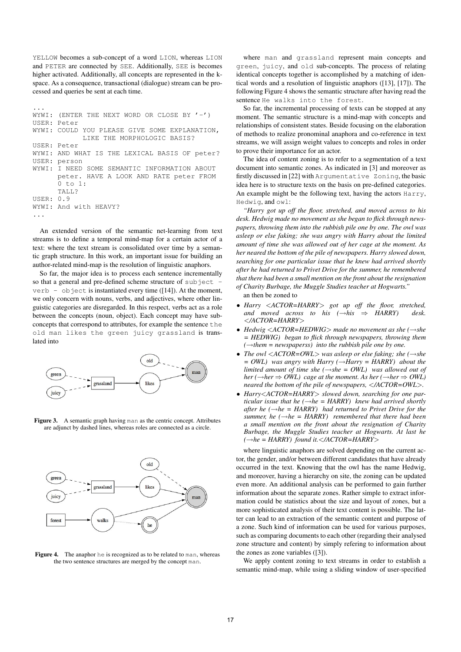YELLOW becomes a sub-concept of a word LION, whereas LION and PETER are connected by SEE. Additionally, SEE is becomes higher activated. Additionally, all concepts are represented in the kspace. As a consequence, transactional (dialogue) stream can be processed and queries be sent at each time.

```
...
WYWI: (ENTER THE NEXT WORD OR CLOSE BY '-')
USER: Peter
WYWI: COULD YOU PLEASE GIVE SOME EXPLANATION.
            LIKE THE MORPHOLOGIC BASIS?
USER: Peter
WYWI: AND WHAT IS THE LEXICAL BASIS OF peter?
USER: person
WYWI: I NEED SOME SEMANTIC INFORMATION ABOUT
      peter. HAVE A LOOK AND RATE peter FROM
      0 + 0.1:
      TALL?
USER: 0.9
WYWI: And with HEAVY?
...
```
An extended version of the semantic net-learning from text streams is to define a temporal mind-map for a certain actor of a text: where the text stream is consolidated over time by a semantic graph structure. In this work, an important issue for building an author-related mind-map is the resolution of linguistic anaphors.

So far, the major idea is to process each sentence incrementally so that a general and pre-defined scheme structure of subject verb - object is instantiated every time  $([14])$ . At the moment, we only concern with nouns, verbs, and adjectives, where other linguistic categories are disregarded. In this respect, verbs act as a role between the concepts (noun, object). Each concept may have subconcepts that correspond to attributes, for example the sentence the old man likes the green juicy grassland is translated into



Figure 3. A semantic graph having man as the centric concept. Attributes are adjunct by dashed lines, whereas roles are connected as a circle.



Figure 4. The anaphor he is recognized as to be related to man, whereas the two sentence structures are merged by the concept man.

where man and grassland represent main concepts and green, juicy, and old sub-concepts. The process of relating identical concepts together is accomplished by a matching of identical words and a resolution of linguistic anaphors ([13], [17]). The following Figure 4 shows the semantic structure after having read the sentence He walks into the forest.

So far, the incremental processing of texts can be stopped at any moment. The semantic structure is a mind-map with concepts and relationships of consistent states. Beside focusing on the elaboration of methods to realize pronominal anaphora and co-reference in text streams, we will assign weight values to concepts and roles in order to prove their importance for an actor.

The idea of content zoning is to refer to a segmentation of a text document into semantic zones. As indicated in [3] and moreover as firstly discussed in [22] with Argumentative Zoning, the basic idea here is to structure texts on the basis on pre-defined categories. An example might be the following text, having the actors Harry, Hedwig, and owl:

*"Harry got up off the floor, stretched, and moved across to his desk. Hedwig made no movement as she began to flick through newspapers, throwing them into the rubbish pile one by one. The owl was asleep or else faking; she was angry with Harry about the limited amount of time she was allowed out of her cage at the moment. As her neared the bottom of the pile of newspapers. Harry slowed down, searching for one particular issue that he knew had arrived shortly after he had returned to Privet Drive for the summer, he remembered that there had been a small mention on the front about the resignation of Charity Burbage, the Muggle Studies teacher at Hogwarts."*

an then be zoned to

- *Harry* <*ACTOR=HARRY*> *got up off the floor, stretched, and moved across to his (*→*his* ⇒ *HARRY) desk.* <*/ACTOR=HARRY*>
- *Hedwig* <*ACTOR=HEDWIG*> *made no movement as she (*→*she = HEDWIG) began to flick through newspapers, throwing them*  $(\rightarrow$ *them* = *newspaperss*) *into the rubbish pile one by one.*
- *The owl* <*ACTOR=OWL*> *was asleep or else faking; she (*→*she = OWL) was angry with Harry (*→*Harry = HARRY) about the limited amount of time she* ( $\rightarrow$ *she* = *OWL*) was allowed out of *her* ( $\rightarrow$ *her*  $\Rightarrow$  *OWL*) cage at the moment. As her ( $\rightarrow$ *her*  $\Rightarrow$  *OWL*) *neared the bottom of the pile of newspapers,* <*/ACTOR=OWL*>*.*
- *Harry*<*ACTOR=HARRY*> *slowed down, searching for one particular issue that he*  $(\rightarrow he = HARRY)$  *knew had arrived shortly after he (* $\rightarrow$ *he = HARRY) had returned to Privet Drive for the summer, he*  $(\rightarrow he = HARRY)$  *remembered that there had been a small mention on the front about the resignation of Charity Burbage, the Muggle Studies teacher at Hogwarts. At last he (*→*he = HARRY) found it.*<*/ACTOR=HARRY*>

where linguistic anaphors are solved depending on the current actor, the gender, and/or between different candidates that have already occurred in the text. Knowing that the owl has the name Hedwig, and moreover, having a hierarchy on site, the zoning can be updated even more. An additional analysis can be performed to gain further information about the separate zones. Rather simple to extract information could be statistics about the size and layout of zones, but a more sophisticated analysis of their text content is possible. The latter can lead to an extraction of the semantic content and purpose of a zone. Such kind of information can be used for various purposes, such as comparing documents to each other (regarding their analysed zone structure and content) by simply refering to information about the zones as zone variables ([3]).

We apply content zoning to text streams in order to establish a semantic mind-map, while using a sliding window of user-specified